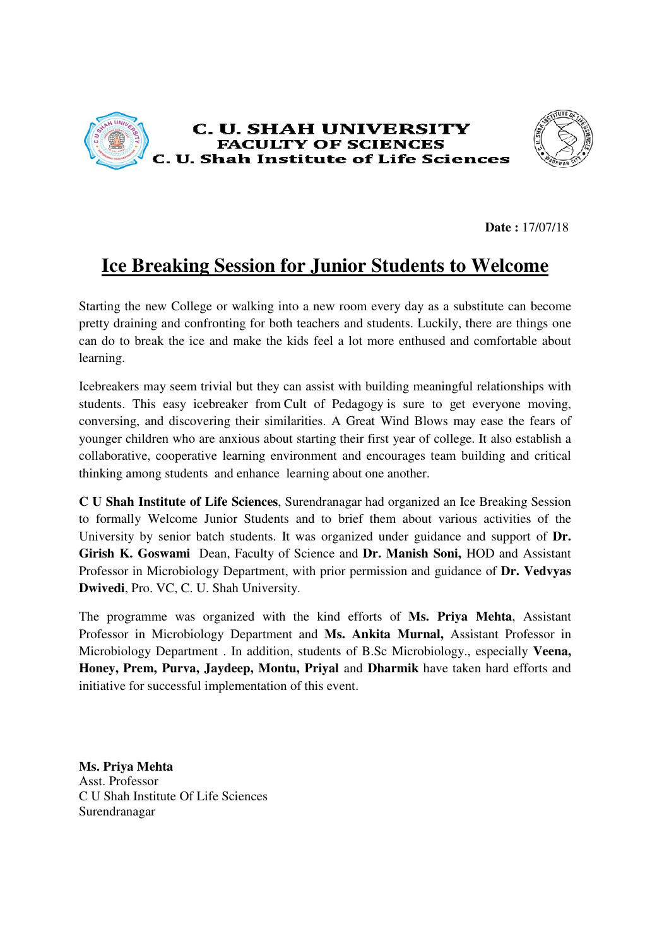



**Date :** 17/07/18

## **Ice Breaking Session for Junior Students to Welcome Breaking**

Starting the new College or walking into a new room every day as a substitute can become pretty draining and confronting for both teachers and students. Luckily, there are things one can do to break the ice and make the kids feel a lot more enthused and comfortable about learning.

Icebreakers may seem trivial but they can assist with building meaningful relationships with students. This easy icebreaker from Cult of Pedagogy is sure to get everyone moving, conversing, and discovering their similarities. A Great Wind Blows may ease the fears of conversing, and discovering their similarities. A Great Wind Blows may ease the fears of<br>younger children who are anxious about starting their first year of college. It also establish a collaborative, cooperative learning environment and encourages team building and critical thinking among students and enhance learning about one another. e the kids feel a lot more enthused and comfortable about<br>they can assist with building meaningful relationships with<br>from Cult of Pedagogy is sure to get everyone moving,

**C U Shah Institute of Life Sciences** , Surendranagar had organized an Ice Breaking Session to formally Welcome Junior Students and to brief them about various activities of the University by senior batch students. It was organized under guidance and support of **Dr. Girish K. Goswami** Dean, Faculty of Science and **Dr. Manish Soni,** HOD and Assistant Professor in Microbiology Department, with prior permission and guidance of Dr. Vedvyas **Dwivedi**, Pro. VC, C. U. Shah University.

The programme was organized with the kind efforts of **Ms. Priya Mehta** , Assistant Professor in Microbiology Department and Ms. Ankita Murnal, Assistant Professor in Microbiology Department . In addition, students of B.Sc B.Sc Microbiology., especially **Veena, Honey, Prem, Purva, Jaydeep, Montu, Priyal**  and **Dharmik** have taken hard efforts and initiative for successful implementation of this event.

**Ms. Priya Mehta**  Asst. Professor C U Shah Institute Of Life Sciences Surendranagar